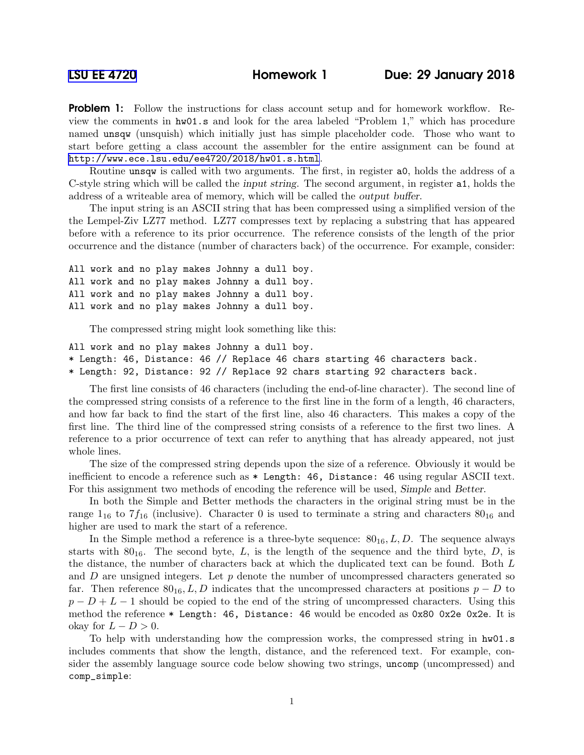**Problem 1:** Follow the instructions for class account setup and for homework workflow. Review the comments in hw01.s and look for the area labeled "Problem 1," which has procedure named unsqw (unsquish) which initially just has simple placeholder code. Those who want to start before getting a class account the assembler for the entire assignment can be found at <http://www.ece.lsu.edu/ee4720/2018/hw01.s.html>.

Routine unsqw is called with two arguments. The first, in register a0, holds the address of a C-style string which will be called the input string. The second argument, in register a1, holds the address of a writeable area of memory, which will be called the output buffer.

The input string is an ASCII string that has been compressed using a simplified version of the the Lempel-Ziv LZ77 method. LZ77 compresses text by replacing a substring that has appeared before with a reference to its prior occurrence. The reference consists of the length of the prior occurrence and the distance (number of characters back) of the occurrence. For example, consider:

All work and no play makes Johnny a dull boy. All work and no play makes Johnny a dull boy. All work and no play makes Johnny a dull boy. All work and no play makes Johnny a dull boy.

The compressed string might look something like this:

```
All work and no play makes Johnny a dull boy.
* Length: 46, Distance: 46 // Replace 46 chars starting 46 characters back.
* Length: 92, Distance: 92 // Replace 92 chars starting 92 characters back.
```
The first line consists of 46 characters (including the end-of-line character). The second line of the compressed string consists of a reference to the first line in the form of a length, 46 characters, and how far back to find the start of the first line, also 46 characters. This makes a copy of the first line. The third line of the compressed string consists of a reference to the first two lines. A reference to a prior occurrence of text can refer to anything that has already appeared, not just whole lines.

The size of the compressed string depends upon the size of a reference. Obviously it would be inefficient to encode a reference such as  $*$  Length: 46, Distance: 46 using regular ASCII text. For this assignment two methods of encoding the reference will be used, Simple and Better.

In both the Simple and Better methods the characters in the original string must be in the range  $1_{16}$  to  $7f_{16}$  (inclusive). Character 0 is used to terminate a string and characters  $80_{16}$  and higher are used to mark the start of a reference.

In the Simple method a reference is a three-byte sequence:  $80_{16}$ , L, D. The sequence always starts with  $80_{16}$ . The second byte, L, is the length of the sequence and the third byte, D, is the distance, the number of characters back at which the duplicated text can be found. Both L and  $D$  are unsigned integers. Let  $p$  denote the number of uncompressed characters generated so far. Then reference  $80_{16}$ , L, D indicates that the uncompressed characters at positions  $p - D$  to  $p - D + L - 1$  should be copied to the end of the string of uncompressed characters. Using this method the reference  $*$  Length: 46, Distance: 46 would be encoded as 0x80 0x2e 0x2e. It is okay for  $L - D > 0$ .

To help with understanding how the compression works, the compressed string in hw01.s includes comments that show the length, distance, and the referenced text. For example, consider the assembly language source code below showing two strings, uncomp (uncompressed) and comp\_simple: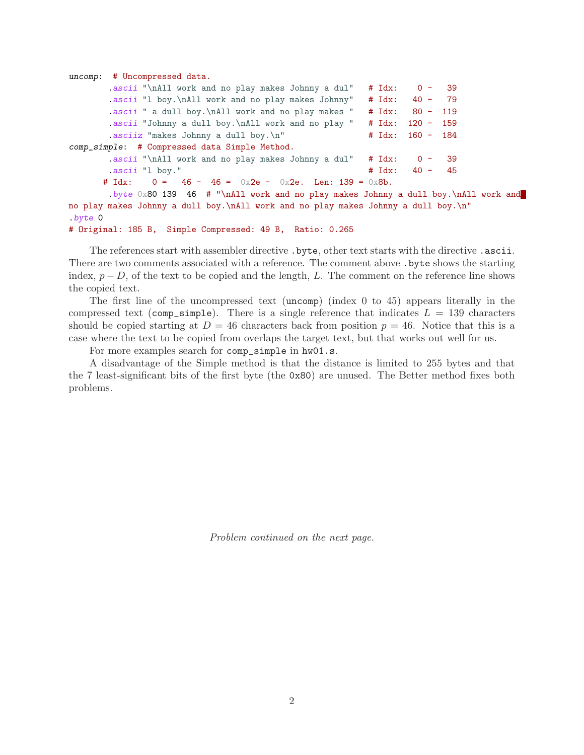```
uncomp: # Uncompressed data.
       .ascii "\nAll work and no play makes Johnny a dul" # Idx: 0 - 39
       .ascii "l boy.\nAll work and no play makes Johnny" # Idx: 40 - 79
       .ascii " a dull boy.\nAll work and no play makes " # Idx: 80 - 119
       .ascii "Johnny a dull boy.\nAll work and no play " # Idx: 120 - 159
       .asciiz "makes Johnny a dull boy.\n" \# Idx: 160 - 184
comp_simple: # Compressed data Simple Method.
       .ascii "\nAll work and no play makes Johnny a dul" # Idx: 0 - 39
       .ascii "l boy." # Idx: 40 - 45
      # Idx: 0 = 46 - 46 = 0x2e - 0x2e. Len: 139 = 0x8b.
       .byte 0x80 139 46 # "\nAll work and no play makes Johnny a dull boy.\nAll work and
no play makes Johnny a dull boy.\nAll work and no play makes Johnny a dull boy.\n"
.byte 0
# Original: 185 B, Simple Compressed: 49 B, Ratio: 0.265
```
The references start with assembler directive .byte, other text starts with the directive .ascii. There are two comments associated with a reference. The comment above .byte shows the starting index,  $p - D$ , of the text to be copied and the length, L. The comment on the reference line shows the copied text.

The first line of the uncompressed text (uncomp) (index 0 to 45) appears literally in the compressed text (comp\_simple). There is a single reference that indicates  $L = 139$  characters should be copied starting at  $D = 46$  characters back from position  $p = 46$ . Notice that this is a case where the text to be copied from overlaps the target text, but that works out well for us.

For more examples search for comp\_simple in hw01.s.

A disadvantage of the Simple method is that the distance is limited to 255 bytes and that the 7 least-significant bits of the first byte (the 0x80) are unused. The Better method fixes both problems.

Problem continued on the next page.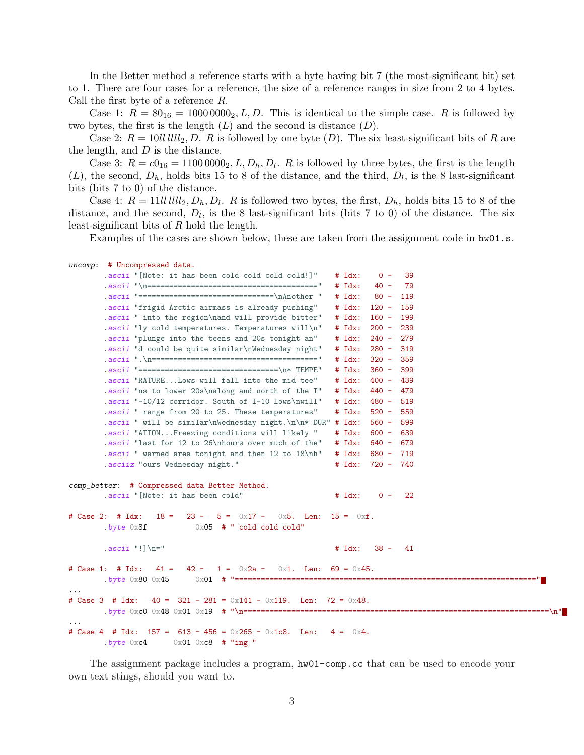In the Better method a reference starts with a byte having bit 7 (the most-significant bit) set to 1. There are four cases for a reference, the size of a reference ranges in size from 2 to 4 bytes. Call the first byte of a reference R.

Case 1:  $R = 80_{16} = 10000000_2, L, D$ . This is identical to the simple case. R is followed by two bytes, the first is the length  $(L)$  and the second is distance  $(D)$ .

Case 2:  $R = 10$ ll llll<sub>2</sub>, D. R is followed by one byte (D). The six least-significant bits of R are the length, and  $D$  is the distance.

Case 3:  $R = c_0_{16} = 11000000_2, L, D_h, D_l$ . R is followed by three bytes, the first is the length  $(L)$ , the second,  $D_h$ , holds bits 15 to 8 of the distance, and the third,  $D_l$ , is the 8 last-significant bits (bits 7 to 0) of the distance.

Case 4:  $R = 11$ *ll*  $lllll_2, D_h, D_l$ . R is followed two bytes, the first,  $D_h$ , holds bits 15 to 8 of the distance, and the second,  $D_l$ , is the 8 last-significant bits (bits 7 to 0) of the distance. The six least-significant bits of R hold the length.

Examples of the cases are shown below, these are taken from the assignment code in  $hwd1.s$ .

|   | uncomp: # Uncompressed data.                                                                         |                            |           |             |  |
|---|------------------------------------------------------------------------------------------------------|----------------------------|-----------|-------------|--|
|   | .ascii "[Note: it has been cold cold cold cold!]"                                                    | $# Idx$ :                  | $0 -$     | 39          |  |
|   |                                                                                                      | $# Idx$ :                  | $40 -$    | 79          |  |
|   | .ascii "================================\nAnother "                                                  | $# \; \; \; \mathrm{Idx:}$ | $80 -$    | 119         |  |
|   | .ascii "frigid Arctic airmass is already pushing"                                                    | $# \; \; \; \mathrm{Idx:}$ | $120 -$   | 159         |  |
|   | .ascii " into the region\nand will provide bitter"                                                   | $# Idx$ :                  | $160 -$   | 199         |  |
|   | .ascii "ly cold temperatures. Temperatures will\n"                                                   | $# Idx$ :                  | $200 -$   | 239         |  |
|   | .ascii "plunge into the teens and 20s tonight an"                                                    | $# Idx$ :                  | $240 -$   | 279         |  |
|   | .ascii "d could be quite similar\nWednesday night"                                                   | $# Idx$ :                  | $280 -$   | 319         |  |
|   |                                                                                                      | $#$ $Idx:$                 | $320 -$   | 359         |  |
|   |                                                                                                      | $#$ $Idx:$                 | $360 -$   | 399         |  |
|   | .ascii "RATURELows will fall into the mid tee"                                                       | $# Idx$ :                  | $400 -$   | 439         |  |
|   | ascii "ns to lower 20s\nalong and north of the I"                                                    | $# \; \; \; \mathrm{Idx:}$ | 440 -     | 479         |  |
|   | .ascii "-10/12 corridor. South of I-10 lows\nwill"                                                   | $# Idx$ :                  | $480 -$   | 519         |  |
|   | .ascii " range from 20 to 25. These temperatures"                                                    | $# Idx$ :                  | $520 -$   | 559         |  |
|   | .ascii " will be similar\nWednesday night.\n\n* DUR" # $Idx$ :                                       |                            | $560 -$   | 599         |  |
|   | .ascii "ATIONFreezing conditions will likely "                                                       | $# \; \; \; \mathrm{Idx:}$ | $600 -$   | 639         |  |
|   | ascii "last for 12 to 26\nhours over much of the"                                                    | $#$ Idx:                   |           | $640 - 679$ |  |
|   | .ascii " warned area tonight and then 12 to 18\nh"                                                   | $# \; \; \; \mathrm{Idx:}$ |           | $680 - 719$ |  |
|   | .asciiz "ours Wednesday night."                                                                      | $# \; \; \; \mathrm{Idx:}$ | 720 - 740 |             |  |
|   |                                                                                                      |                            |           |             |  |
|   | comp_better: # Compressed data Better Method.                                                        |                            |           |             |  |
|   | .ascii "[Note: it has been cold"                                                                     | $#$ $Idx:$                 | $0 -$     | 22          |  |
|   | # Case 2: # Idx:                                                                                     |                            |           |             |  |
|   | $23 - 5 = 0x17 - 0x5$ . Len: $15 = 0x$ f.<br>$18 =$<br>$0x05$ # " cold cold cold"<br>$.$ byte $0x8f$ |                            |           |             |  |
|   |                                                                                                      |                            |           |             |  |
|   | $. ascii$ "!] \n="                                                                                   | $# Idx$ :                  |           | $38 - 41$   |  |
|   |                                                                                                      |                            |           |             |  |
|   | # Case 1: # Idx:<br>$41 =$<br>$42 -$<br>$1 = 0x2a -$<br>$0x1.$ Len: 69 = $0x45.$                     |                            |           |             |  |
|   | $.$ byte $0x80$ $0x45$                                                                               |                            |           |             |  |
| . |                                                                                                      |                            |           |             |  |
|   | # Case 3 # Idx:<br>$40 = 321 - 281 = 0 \times 141 - 0 \times 119$ . Len: 72 = 0x48.                  |                            |           |             |  |
|   |                                                                                                      |                            |           |             |  |
| . |                                                                                                      |                            |           |             |  |
|   | # Case 4 # Idx: $157 = 613 - 456 = 0x265 - 0x1c8$ . Len:                                             | $4 = 0 \times 4$ .         |           |             |  |
|   | $.$ byte $0xc4$<br>$0x01$ $0xc8$ # "ing "                                                            |                            |           |             |  |
|   |                                                                                                      |                            |           |             |  |

The assignment package includes a program, hw01-comp.cc that can be used to encode your own text stings, should you want to.